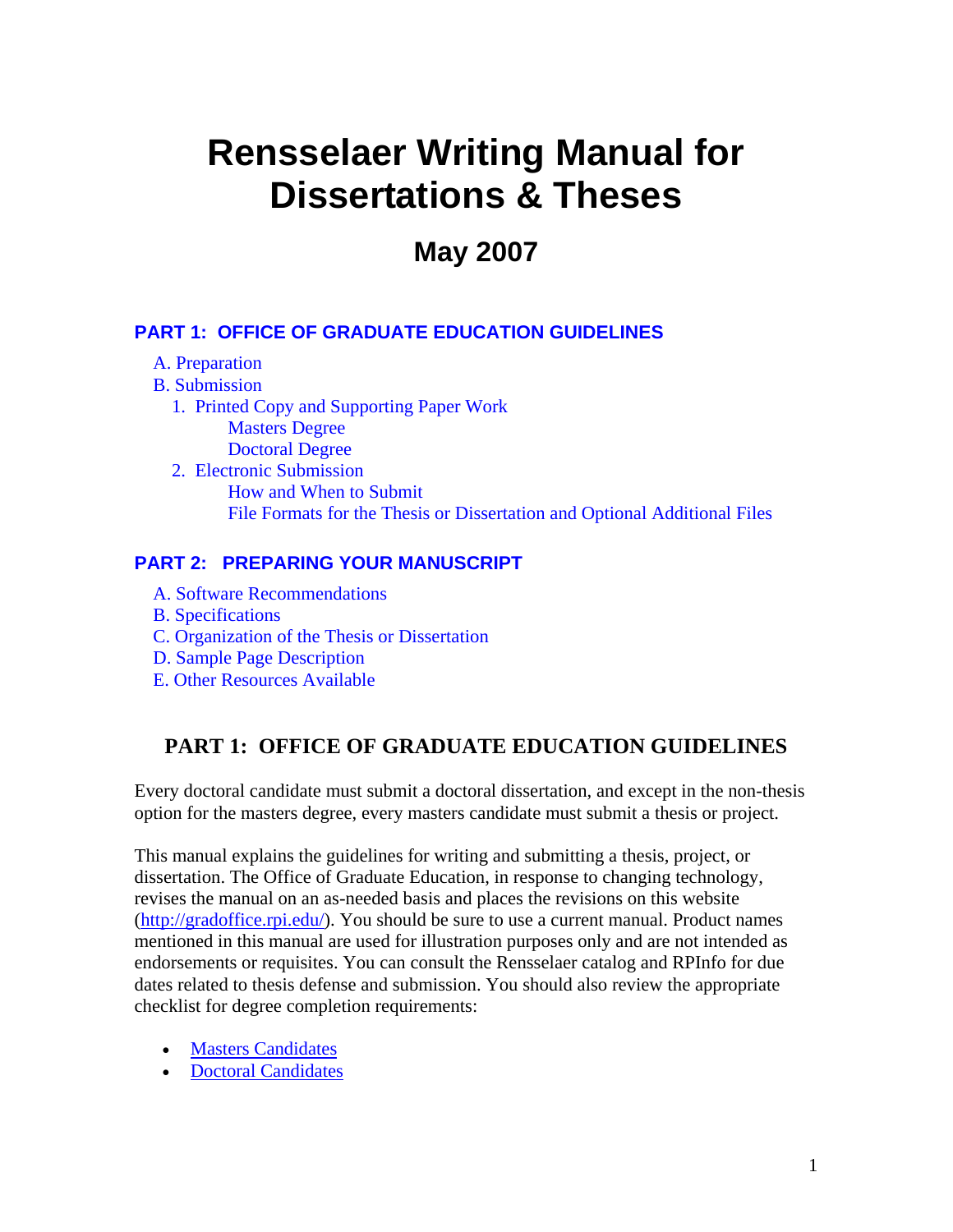# <span id="page-0-0"></span>**Rensselaer Writing Manual for Dissertations & Theses**

# **May 2007**

#### **[PART 1: OFFICE OF GRADUATE EDUCATION GUIDELINES](#page-0-0)**

- [A. Preparation](#page-1-0)
- [B. Submission](#page-1-0)
	- [1. Printed Copy and Supporting Paper Work](#page-2-0) [Masters Degree](#page-2-0) [Doctoral Degree](#page-2-0)
	- [2. Electronic Submission](#page-3-0)  [How and When to Submit](#page-3-0)  [File Formats for the Thesis or Dissertation and Optional Additional Files](#page-3-0)

#### **[PART 2: PREPARING YOUR MANUSCRIPT](#page-5-0)**

- [A. Software Recommendations](#page-5-0)
- [B. Specifications](#page-5-0)
- [C. Organization of the Thesis or Dissertation](#page-7-0)
- [D. Sample Page Description](#page-8-0)
- [E. Other Resources Available](#page-11-0)

### **PART 1: OFFICE OF GRADUATE EDUCATION GUIDELINES**

Every doctoral candidate must submit a doctoral dissertation, and except in the non-thesis option for the masters degree, every masters candidate must submit a thesis or project.

This manual explains the guidelines for writing and submitting a thesis, project, or dissertation. The Office of Graduate Education, in response to changing technology, revises the manual on an as-needed basis and places the revisions on this website [\(http://gradoffice.rpi.edu/](http://gradoffice.rpi.edu/)). You should be sure to use a current manual. Product names mentioned in this manual are used for illustration purposes only and are not intended as endorsements or requisites. You can consult the Rensselaer catalog and RPInfo for due dates related to thesis defense and submission. You should also review the appropriate checklist for degree completion requirements:

- **Masters Candidates**
- [Doctoral Candidates](http://gradoffice.rpi.edu/update.do?artcenterkey=5)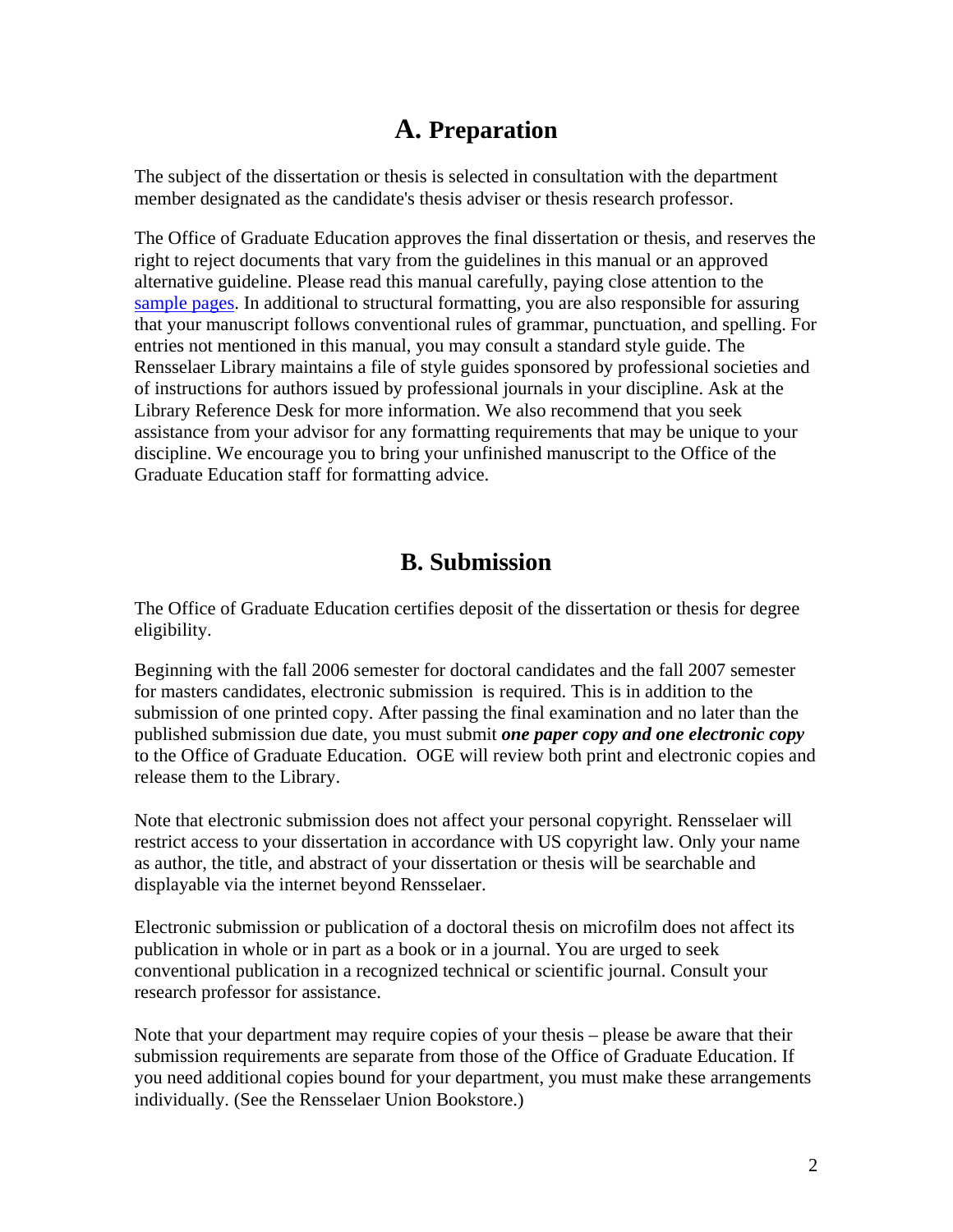# **A. Preparation**

<span id="page-1-0"></span>The subject of the dissertation or thesis is selected in consultation with the department member designated as the candidate's thesis adviser or thesis research professor.

The Office of Graduate Education approves the final dissertation or thesis, and reserves the right to reject documents that vary from the guidelines in this manual or an approved alternative guideline. Please read this manual carefully, paying close attention to the [sample pages.](http://www.rpi.edu/dept/grad/docs/ThesisGuide/samplepages.pdf) In additional to structural formatting, you are also responsible for assuring that your manuscript follows conventional rules of grammar, punctuation, and spelling. For entries not mentioned in this manual, you may consult a standard style guide. The Rensselaer Library maintains a file of style guides sponsored by professional societies and of instructions for authors issued by professional journals in your discipline. Ask at the Library Reference Desk for more information. We also recommend that you seek assistance from your advisor for any formatting requirements that may be unique to your discipline. We encourage you to bring your unfinished manuscript to the Office of the Graduate Education staff for formatting advice.

# **B. Submission**

The Office of Graduate Education certifies deposit of the dissertation or thesis for degree eligibility.

Beginning with the fall 2006 semester for doctoral candidates and the fall 2007 semester for masters candidates, electronic submission is required. This is in addition to the submission of one printed copy. After passing the final examination and no later than the published submission due date, you must submit *one paper copy and one electronic copy* to the Office of Graduate Education. OGE will review both print and electronic copies and release them to the Library.

Note that electronic submission does not affect your personal copyright. Rensselaer will restrict access to your dissertation in accordance with US copyright law. Only your name as author, the title, and abstract of your dissertation or thesis will be searchable and displayable via the internet beyond Rensselaer.

Electronic submission or publication of a doctoral thesis on microfilm does not affect its publication in whole or in part as a book or in a journal. You are urged to seek conventional publication in a recognized technical or scientific journal. Consult your research professor for assistance.

Note that your department may require copies of your thesis – please be aware that their submission requirements are separate from those of the Office of Graduate Education. If you need additional copies bound for your department, you must make these arrangements individually. (See the Rensselaer Union Bookstore.)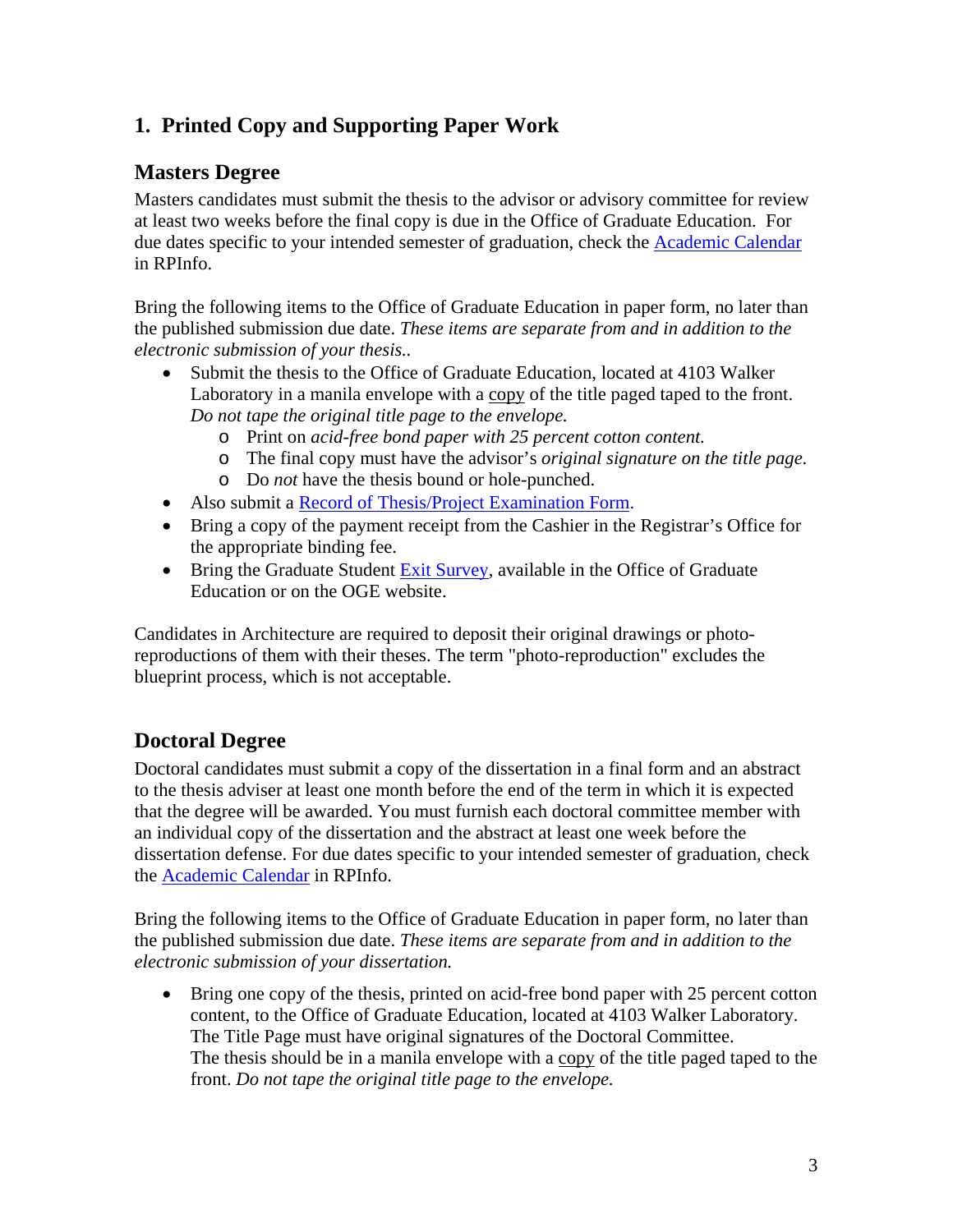## <span id="page-2-0"></span>**1. Printed Copy and Supporting Paper Work**

### **Masters Degree**

Masters candidates must submit the thesis to the advisor or advisory committee for review at least two weeks before the final copy is due in the Office of Graduate Education. For due dates specific to your intended semester of graduation, check the [Academic Calendar](http://www.rpi.edu/academics/calendar.html) in RPInfo.

Bring the following items to the Office of Graduate Education in paper form, no later than the published submission due date. *These items are separate from and in addition to the electronic submission of your thesis..*

- Submit the thesis to the Office of Graduate Education, located at 4103 Walker Laboratory in a manila envelope with a copy of the title paged taped to the front. *Do not tape the original title page to the envelope.*
	- o Print on *acid-free bond paper with 25 percent cotton content.*
	- o The final copy must have the advisor's *original signature on the title page*.
	- o Do *not* have the thesis bound or hole-punched.
- Also submit a [Record of Thesis/Project Examination Form](http://www.rpi.edu/dept/grad/docs/Record_of_Thesis.PDF).
- Bring a copy of the payment receipt from the Cashier in the Registrar's Office for the appropriate binding fee.
- Bring the Graduate Student [Exit Survey](http://www.rpi.edu/dept/grad/docs/GradSurvey.pdf), available in the Office of Graduate Education or on the OGE website.

Candidates in Architecture are required to deposit their original drawings or photoreproductions of them with their theses. The term "photo-reproduction" excludes the blueprint process, which is not acceptable.

### **Doctoral Degree**

Doctoral candidates must submit a copy of the dissertation in a final form and an abstract to the thesis adviser at least one month before the end of the term in which it is expected that the degree will be awarded. You must furnish each doctoral committee member with an individual copy of the dissertation and the abstract at least one week before the dissertation defense. For due dates specific to your intended semester of graduation, check the [Academic Calendar](http://www.rpi.edu/academics/calendar.html) in RPInfo.

Bring the following items to the Office of Graduate Education in paper form, no later than the published submission due date. *These items are separate from and in addition to the electronic submission of your dissertation.* 

• Bring one copy of the thesis, printed on acid-free bond paper with 25 percent cotton content, to the Office of Graduate Education, located at 4103 Walker Laboratory. The Title Page must have original signatures of the Doctoral Committee. The thesis should be in a manila envelope with a copy of the title paged taped to the front. *Do not tape the original title page to the envelope.*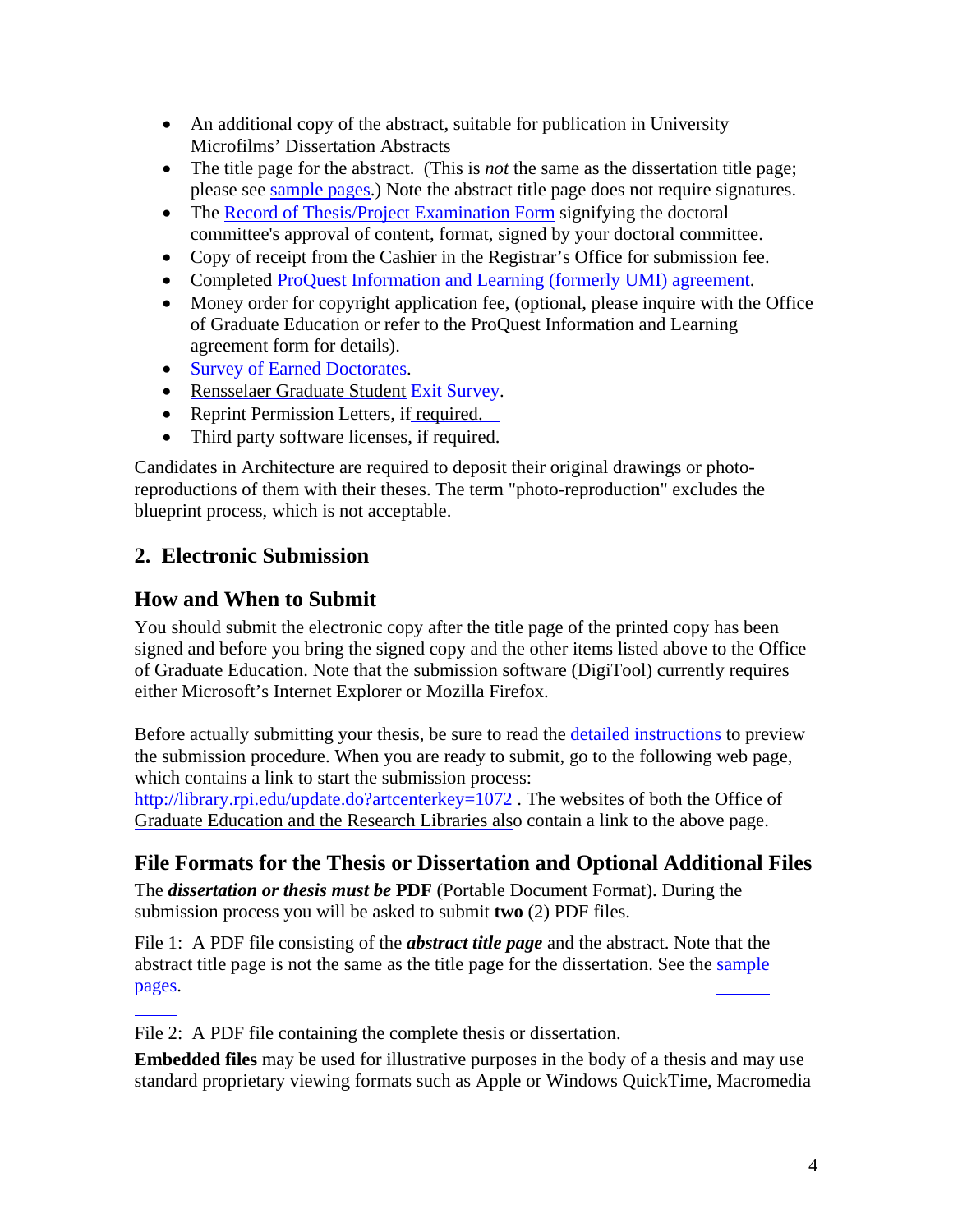- <span id="page-3-0"></span>• An additional copy of the abstract, suitable for publication in University Microfilms' Dissertation Abstracts
- The title page for the abstract. (This is *not* the same as the dissertation title page; please see [sample pages](http://www.rpi.edu/dept/grad/docs/ThesisGuide/samplepages.pdf).) Note the abstract title page does not require signatures.
- The [Record of Thesis/Project Examination Form](http://www.rpi.edu/dept/grad/docs/Record_of_Thesis.PDF) signifying the doctoral committee's approval of content, format, signed by your doctoral committee.
- Copy of receipt from the Cashier in the Registrar's Office for submission fee.
- Completed ProQuest Information and Learning (formerly UMI) agreement.
- Money ord[er for copyright application fee, \(optional, please inquire with th](http://www.rpi.edu/dept/grad/docs/UMI_Dissertation_Agreement_Form.pdf)e Office of Graduate Education or refer to the ProQuest Information and Learning agreement form for details).
- Survey of Earned Doctorates.
- [Rensselaer Graduate Student](http://www.rpi.edu/dept/grad/docs/sed06-07.pdf) Exit Survey.
- Reprint Permission Letters, if required.
- Third party software licenses, if required.

Candidates in Architecture are required to deposit their original drawings or photoreproductions of them with their theses. The term "photo-reproduction" excludes the blueprint process, which is not acceptable.

### **2. Electronic Submission**

### **How and When to Submit**

You should submit the electronic copy after the title page of the printed copy has been signed and before you bring the signed copy and the other items listed above to the Office of Graduate Education. Note that the submission software (DigiTool) currently requires either Microsoft's Internet Explorer or Mozilla Firefox.

Before actually submitting your thesis, be sure to read the detailed instructions to preview the submission procedure. When you are ready to submit, [go to the following w](http://www.rpi.edu/dept/library/html/images/thesis/InputInstructions.pdf)eb page, which contains a link to start the submission process:

http://library.rpi.edu/update.do?artcenterkey=1072 . The websites of both the Office of [Graduate Education and the Research Libraries als](http://library.rpi.edu/update.do?artcenterkey=1072)o contain a link to the above page.

### **File Formats for the Thesis or Dissertation and Optional Additional Files**

The *dissertation or thesis must be* **PDF** (Portable Document Format). During the submission process you will be asked to submit **two** (2) PDF files.

File 1: A PDF file consisting of the *abstract title page* and the abstract. Note that the abstract title page is not the same as the title page for the dissertation. See the [sample](http://www.rpi.edu/dept/grad/docs/ThesisGuide/samplepages.pdf)  [pages.](http://www.rpi.edu/dept/grad/docs/ThesisGuide/samplepages.pdf)

File 2: A PDF file containing the complete thesis or dissertation.

**Embedded files** may be used for illustrative purposes in the body of a thesis and may use standard proprietary viewing formats such as Apple or Windows QuickTime, Macromedia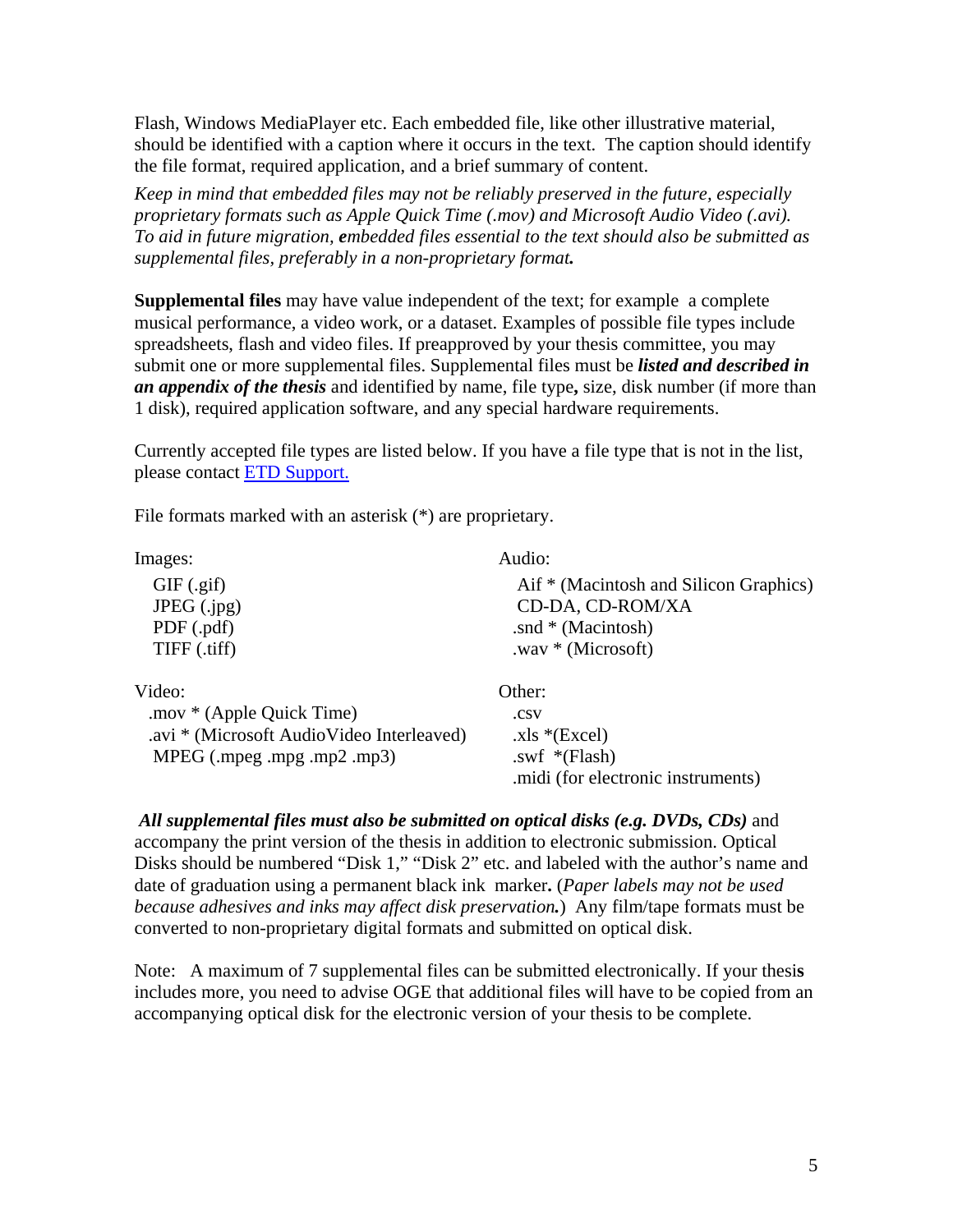Flash, Windows MediaPlayer etc. Each embedded file, like other illustrative material, should be identified with a caption where it occurs in the text. The caption should identify the file format, required application, and a brief summary of content.

*Keep in mind that embedded files may not be reliably preserved in the future, especially proprietary formats such as Apple Quick Time (.mov) and Microsoft Audio Video (.avi). To aid in future migration, embedded files essential to the text should also be submitted as supplemental files, preferably in a non-proprietary format.*

**Supplemental files** may have value independent of the text; for example a complete musical performance, a video work, or a dataset. Examples of possible file types include spreadsheets, flash and video files. If preapproved by your thesis committee, you may submit one or more supplemental files. Supplemental files must be *listed and described in an appendix of the thesis* and identified by name, file type**,** size, disk number (if more than 1 disk), required application software, and any special hardware requirements.

Currently accepted file types are listed below. If you have a file type that is not in the list, please contact [ETD Support.](http://j2ee.rpi.edu/swf/setup.do?target=etd-support)

File formats marked with an asterisk (\*) are proprietary.

| Images:                                   | Audio:                                 |
|-------------------------------------------|----------------------------------------|
| $GIF$ (.gif)                              | Aif * (Macintosh and Silicon Graphics) |
| JPEG $(ipg)$                              | CD-DA, CD-ROM/XA                       |
| PDF (.pdf)                                | .snd $*$ (Macintosh)                   |
| TIFF (.tiff)                              | .wav $*$ (Microsoft)                   |
| Video:                                    | Other:                                 |
| .mov * (Apple Quick Time)                 | .CSV                                   |
| .avi * (Microsoft AudioVideo Interleaved) | $xls * (Excel)$                        |
| MPEG (mpeg .mpg .mp2 .mp3)                | .swf $*(Flash)$                        |
|                                           | .midi (for electronic instruments)     |

*All supplemental files must also be submitted on optical disks (e.g. DVDs, CDs)* and accompany the print version of the thesis in addition to electronic submission. Optical Disks should be numbered "Disk 1," "Disk 2" etc. and labeled with the author's name and date of graduation using a permanent black ink marker**.** (*Paper labels may not be used because adhesives and inks may affect disk preservation.*) Any film/tape formats must be converted to non-proprietary digital formats and submitted on optical disk.

Note:A maximum of 7 supplemental files can be submitted electronically. If your thesi**s**  includes more, you need to advise OGE that additional files will have to be copied from an accompanying optical disk for the electronic version of your thesis to be complete.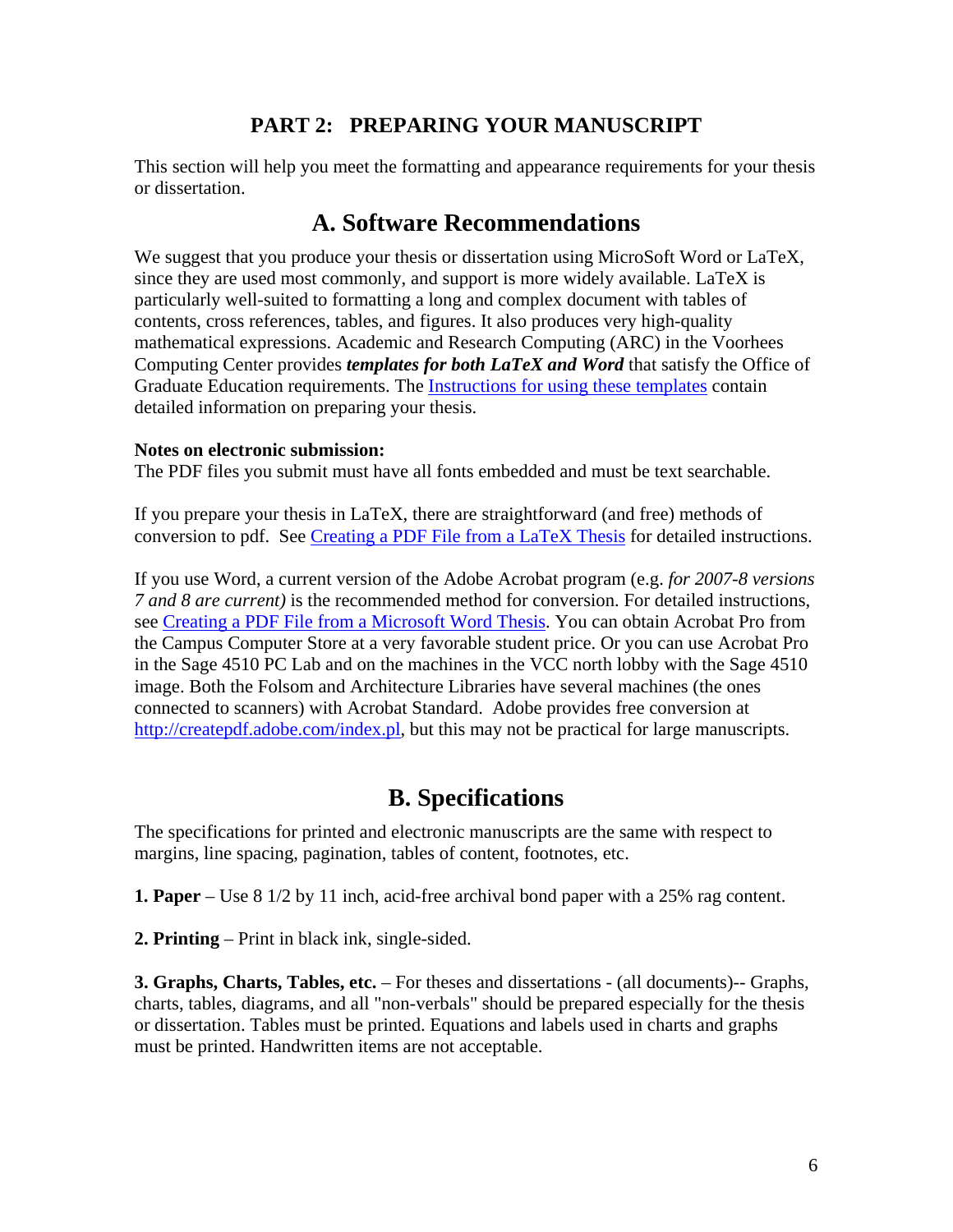### **PART 2: PREPARING YOUR MANUSCRIPT**

<span id="page-5-0"></span>This section will help you meet the formatting and appearance requirements for your thesis or dissertation.

## **A. Software Recommendations**

We suggest that you produce your thesis or dissertation using MicroSoft Word or LaTeX, since they are used most commonly, and support is more widely available. LaTeX is particularly well-suited to formatting a long and complex document with tables of contents, cross references, tables, and figures. It also produces very high-quality mathematical expressions. Academic and Research Computing (ARC) in the Voorhees Computing Center provides *templates for both LaTeX and Word* that satisfy the Office of Graduate Education requirements. The [Instructions for using these templates](http://helpdesk.rpi.edu/update.do?catcenterkey=100) contain detailed information on preparing your thesis.

#### **Notes on electronic submission:**

The PDF files you submit must have all fonts embedded and must be text searchable.

If you prepare your thesis in LaTeX, there are straightforward (and free) methods of conversion to pdf. See [Creating a PDF File from a LaTeX Thesis](http://www.rpi.edu/dept/arc/docs/latex-thesis/latextopdf.pdf) for detailed instructions.

If you use Word, a current version of the Adobe Acrobat program (e.g. *for 2007-8 versions 7 and 8 are current)* is the recommended method for conversion. For detailed instructions, see [Creating a PDF File from a Microsoft Word Thesis.](http://www.rpi.edu/dept/arc/docs/word-thesis/wordtopdf.pdf) You can obtain Acrobat Pro from the Campus Computer Store at a very favorable student price. Or you can use Acrobat Pro in the Sage 4510 PC Lab and on the machines in the VCC north lobby with the Sage 4510 image. Both the Folsom and Architecture Libraries have several machines (the ones connected to scanners) with Acrobat Standard. Adobe provides free conversion at <http://createpdf.adobe.com/index.pl>, but this may not be practical for large manuscripts.

# **B. Specifications**

The specifications for printed and electronic manuscripts are the same with respect to margins, line spacing, pagination, tables of content, footnotes, etc.

**1. Paper** – Use 8 1/2 by 11 inch, acid-free archival bond paper with a 25% rag content.

**2. Printing** – Print in black ink, single-sided.

**3. Graphs, Charts, Tables, etc.** – For theses and dissertations - (all documents)-- Graphs, charts, tables, diagrams, and all "non-verbals" should be prepared especially for the thesis or dissertation. Tables must be printed. Equations and labels used in charts and graphs must be printed. Handwritten items are not acceptable.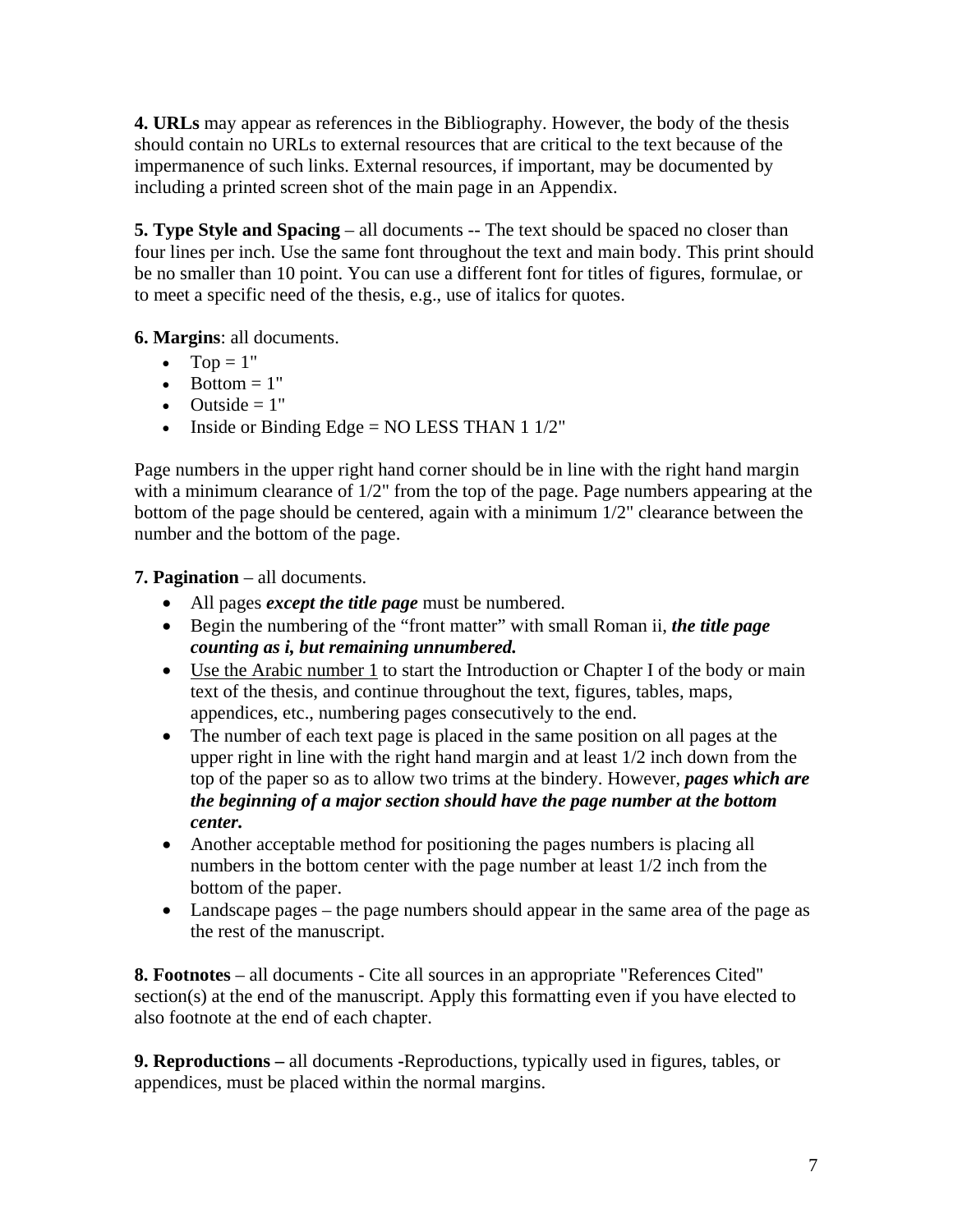**4. URLs** may appear as references in the Bibliography. However, the body of the thesis should contain no URLs to external resources that are critical to the text because of the impermanence of such links. External resources, if important, may be documented by including a printed screen shot of the main page in an Appendix.

**5. Type Style and Spacing** – all documents -- The text should be spaced no closer than four lines per inch. Use the same font throughout the text and main body. This print should be no smaller than 10 point. You can use a different font for titles of figures, formulae, or to meet a specific need of the thesis, e.g., use of italics for quotes.

**6. Margins**: all documents.

- Top  $= 1$ "
- Bottom  $= 1$ "
- Outside  $= 1$ "
- Inside or Binding Edge =  $NO$  LESS THAN 1 1/2"

Page numbers in the upper right hand corner should be in line with the right hand margin with a minimum clearance of  $1/2$ " from the top of the page. Page numbers appearing at the bottom of the page should be centered, again with a minimum 1/2" clearance between the number and the bottom of the page.

**7. Pagination** – all documents.

- All pages *except the title page* must be numbered.
- Begin the numbering of the "front matter" with small Roman ii, *the title page counting as i, but remaining unnumbered.*
- Use the Arabic number 1 to start the Introduction or Chapter I of the body or main text of the thesis, and continue throughout the text, figures, tables, maps, appendices, etc., numbering pages consecutively to the end.
- The number of each text page is placed in the same position on all pages at the upper right in line with the right hand margin and at least 1/2 inch down from the top of the paper so as to allow two trims at the bindery. However, *pages which are the beginning of a major section should have the page number at the bottom center.*
- Another acceptable method for positioning the pages numbers is placing all numbers in the bottom center with the page number at least 1/2 inch from the bottom of the paper.
- Landscape pages the page numbers should appear in the same area of the page as the rest of the manuscript.

**8. Footnotes** – all documents - Cite all sources in an appropriate "References Cited" section(s) at the end of the manuscript. Apply this formatting even if you have elected to also footnote at the end of each chapter.

**9. Reproductions –** all documents **-**Reproductions, typically used in figures, tables, or appendices, must be placed within the normal margins.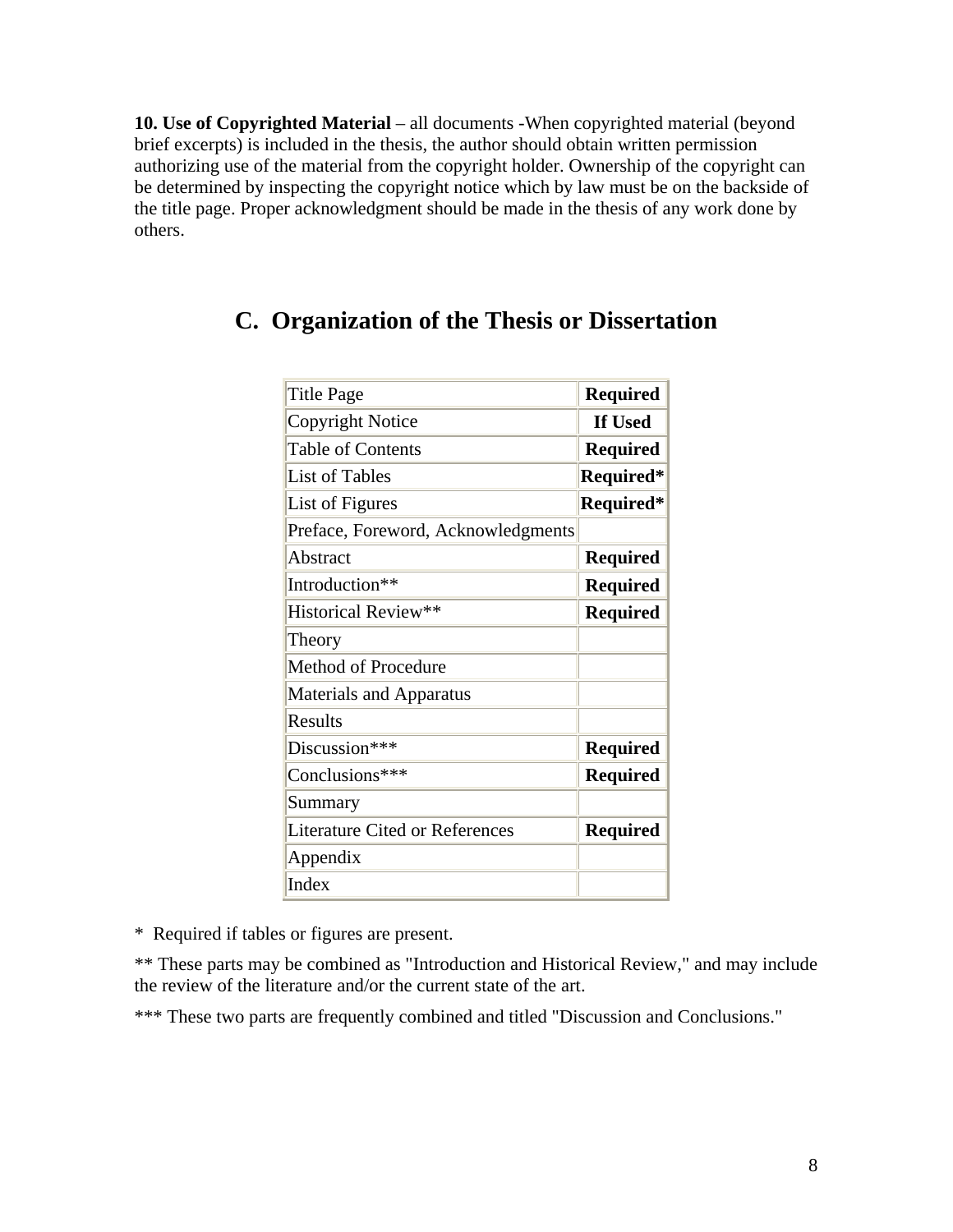<span id="page-7-0"></span>**10. Use of Copyrighted Material** – all documents -When copyrighted material (beyond brief excerpts) is included in the thesis, the author should obtain written permission authorizing use of the material from the copyright holder. Ownership of the copyright can be determined by inspecting the copyright notice which by law must be on the backside of the title page. Proper acknowledgment should be made in the thesis of any work done by others.

| Title Page                            | <b>Required</b> |
|---------------------------------------|-----------------|
| <b>Copyright Notice</b>               | If Used         |
| <b>Table of Contents</b>              | <b>Required</b> |
| <b>List of Tables</b>                 | Required*       |
| List of Figures                       | Required*       |
| Preface, Foreword, Acknowledgments    |                 |
| Abstract                              | <b>Required</b> |
| Introduction**                        | <b>Required</b> |
| Historical Review**                   | <b>Required</b> |
| Theory                                |                 |
| Method of Procedure                   |                 |
| <b>Materials and Apparatus</b>        |                 |
| <b>Results</b>                        |                 |
| Discussion***                         | <b>Required</b> |
| Conclusions***                        | <b>Required</b> |
| Summary                               |                 |
| <b>Literature Cited or References</b> | <b>Required</b> |
| Appendix                              |                 |
| Index                                 |                 |

# **C. Organization of the Thesis or Dissertation**

\* Required if tables or figures are present.

\*\* These parts may be combined as "Introduction and Historical Review," and may include the review of the literature and/or the current state of the art.

\*\*\* These two parts are frequently combined and titled "Discussion and Conclusions."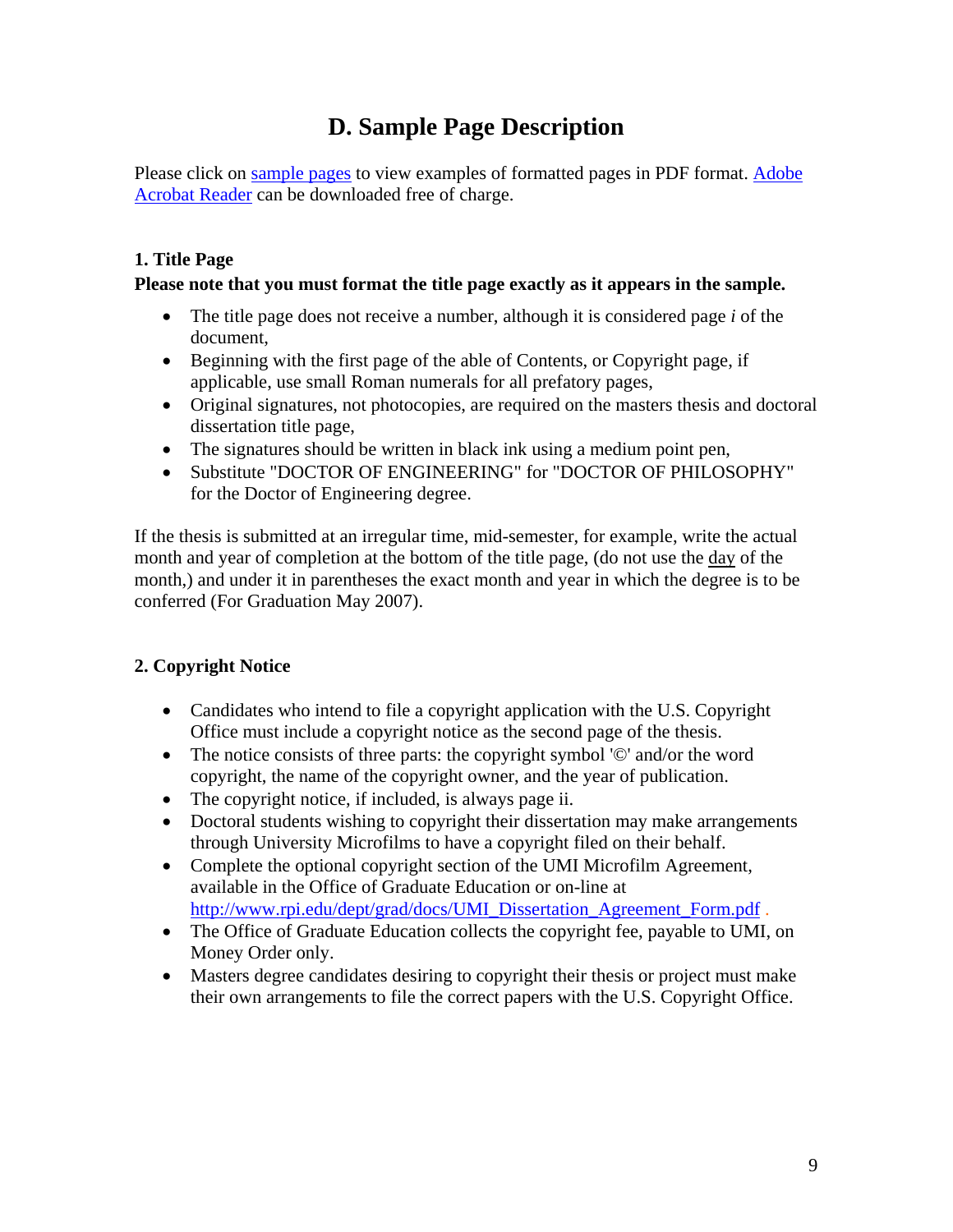# **D. Sample Page Description**

<span id="page-8-0"></span>Please click on [sample pages](http://www.rpi.edu/dept/grad/docs/ThesisGuide/samplepages.pdf) to view examples of formatted pages in PDF format. [Adobe](http://www.adobe.com/products/acrobat/readstep.html)  [Acrobat Reader](http://www.adobe.com/products/acrobat/readstep.html) can be downloaded free of charge.

### **1. Title Page**

#### **Please note that you must format the title page exactly as it appears in the sample.**

- The title page does not receive a number, although it is considered page *i* of the document,
- Beginning with the first page of the able of Contents, or Copyright page, if applicable, use small Roman numerals for all prefatory pages,
- Original signatures, not photocopies, are required on the masters thesis and doctoral dissertation title page,
- The signatures should be written in black ink using a medium point pen,
- Substitute "DOCTOR OF ENGINEERING" for "DOCTOR OF PHILOSOPHY" for the Doctor of Engineering degree.

If the thesis is submitted at an irregular time, mid-semester, for example, write the actual month and year of completion at the bottom of the title page, (do not use the day of the month,) and under it in parentheses the exact month and year in which the degree is to be conferred (For Graduation May 2007).

### **2. Copyright Notice**

- Candidates who intend to file a copyright application with the U.S. Copyright Office must include a copyright notice as the second page of the thesis.
- The notice consists of three parts: the copyright symbol '©' and/or the word copyright, the name of the copyright owner, and the year of publication.
- The copyright notice, if included, is always page ii.
- Doctoral students wishing to copyright their dissertation may make arrangements through University Microfilms to have a copyright filed on their behalf.
- Complete the optional copyright section of the UMI Microfilm Agreement, available in the Office of Graduate Education or on-line at [http://www.rpi.edu/dept/grad/docs/UMI\\_Dissertation\\_Agreement\\_Form.pdf](http://www.rpi.edu/dept/grad/docs/UMI_Dissertation_Agreement_Form.pdf) .
- The Office of Graduate Education collects the copyright fee, payable to UMI, on Money Order only.
- Masters degree candidates desiring to copyright their thesis or project must make their own arrangements to file the correct papers with the U.S. Copyright Office.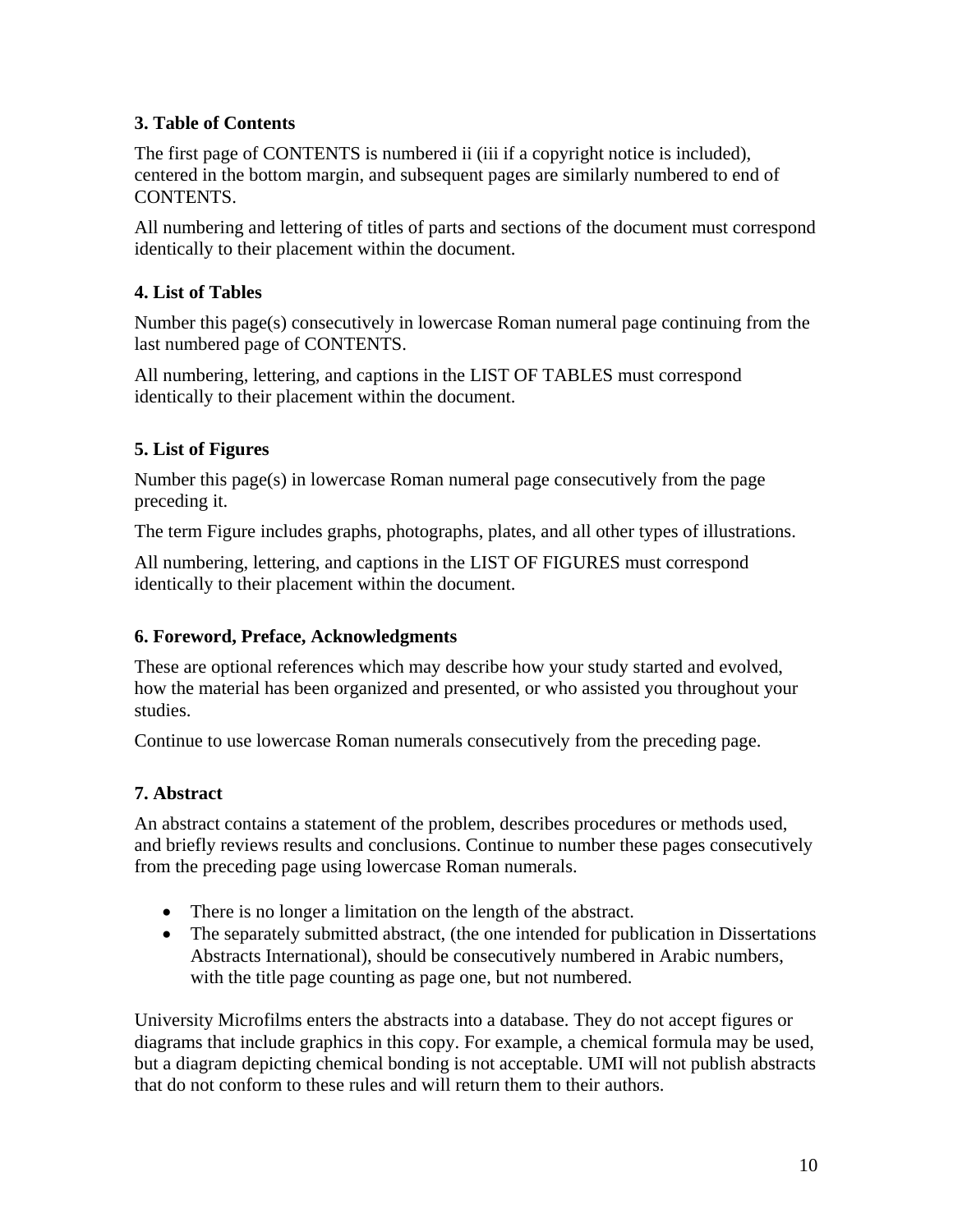### **3. Table of Contents**

The first page of CONTENTS is numbered ii (iii if a copyright notice is included), centered in the bottom margin, and subsequent pages are similarly numbered to end of CONTENTS.

All numbering and lettering of titles of parts and sections of the document must correspond identically to their placement within the document.

### **4. List of Tables**

Number this page(s) consecutively in lowercase Roman numeral page continuing from the last numbered page of CONTENTS.

All numbering, lettering, and captions in the LIST OF TABLES must correspond identically to their placement within the document.

### **5. List of Figures**

Number this page(s) in lowercase Roman numeral page consecutively from the page preceding it.

The term Figure includes graphs, photographs, plates, and all other types of illustrations.

All numbering, lettering, and captions in the LIST OF FIGURES must correspond identically to their placement within the document.

### **6. Foreword, Preface, Acknowledgments**

These are optional references which may describe how your study started and evolved, how the material has been organized and presented, or who assisted you throughout your studies.

Continue to use lowercase Roman numerals consecutively from the preceding page.

### **7. Abstract**

An abstract contains a statement of the problem, describes procedures or methods used, and briefly reviews results and conclusions. Continue to number these pages consecutively from the preceding page using lowercase Roman numerals.

- There is no longer a limitation on the length of the abstract.
- The separately submitted abstract, (the one intended for publication in Dissertations Abstracts International), should be consecutively numbered in Arabic numbers, with the title page counting as page one, but not numbered.

University Microfilms enters the abstracts into a database. They do not accept figures or diagrams that include graphics in this copy. For example, a chemical formula may be used, but a diagram depicting chemical bonding is not acceptable. UMI will not publish abstracts that do not conform to these rules and will return them to their authors.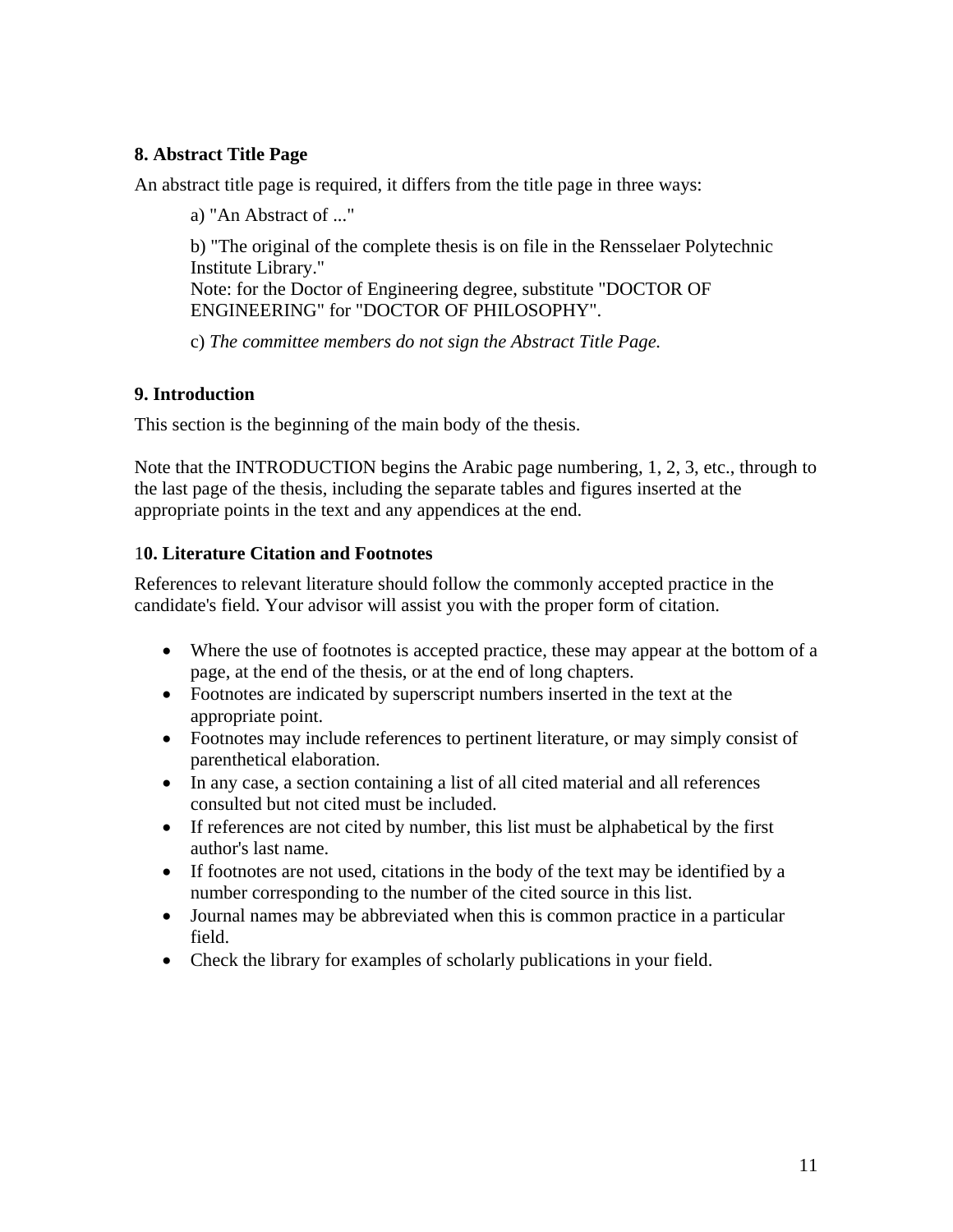### **8. Abstract Title Page**

An abstract title page is required, it differs from the title page in three ways:

a) "An Abstract of ..."

b) "The original of the complete thesis is on file in the Rensselaer Polytechnic Institute Library." Note: for the Doctor of Engineering degree, substitute "DOCTOR OF

ENGINEERING" for "DOCTOR OF PHILOSOPHY".

c) *The committee members do not sign the Abstract Title Page.* 

### **9. Introduction**

This section is the beginning of the main body of the thesis.

Note that the INTRODUCTION begins the Arabic page numbering, 1, 2, 3, etc., through to the last page of the thesis, including the separate tables and figures inserted at the appropriate points in the text and any appendices at the end.

### 1**0. Literature Citation and Footnotes**

References to relevant literature should follow the commonly accepted practice in the candidate's field. Your advisor will assist you with the proper form of citation.

- Where the use of footnotes is accepted practice, these may appear at the bottom of a page, at the end of the thesis, or at the end of long chapters.
- Footnotes are indicated by superscript numbers inserted in the text at the appropriate point.
- Footnotes may include references to pertinent literature, or may simply consist of parenthetical elaboration.
- In any case, a section containing a list of all cited material and all references consulted but not cited must be included.
- If references are not cited by number, this list must be alphabetical by the first author's last name.
- If footnotes are not used, citations in the body of the text may be identified by a number corresponding to the number of the cited source in this list.
- Journal names may be abbreviated when this is common practice in a particular field.
- Check the library for examples of scholarly publications in your field.